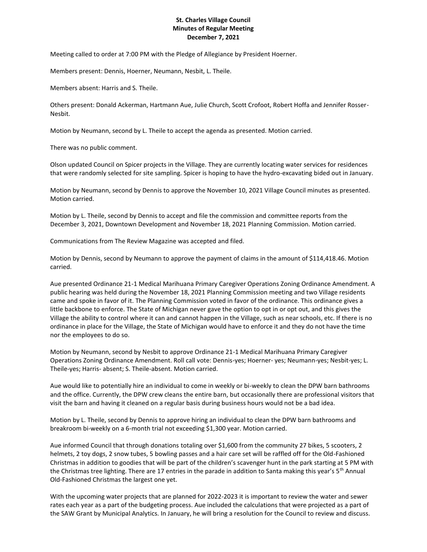## **St. Charles Village Council Minutes of Regular Meeting December 7, 2021**

Meeting called to order at 7:00 PM with the Pledge of Allegiance by President Hoerner.

Members present: Dennis, Hoerner, Neumann, Nesbit, L. Theile.

Members absent: Harris and S. Theile.

Others present: Donald Ackerman, Hartmann Aue, Julie Church, Scott Crofoot, Robert Hoffa and Jennifer Rosser-Nesbit.

Motion by Neumann, second by L. Theile to accept the agenda as presented. Motion carried.

There was no public comment.

Olson updated Council on Spicer projects in the Village. They are currently locating water services for residences that were randomly selected for site sampling. Spicer is hoping to have the hydro-excavating bided out in January.

Motion by Neumann, second by Dennis to approve the November 10, 2021 Village Council minutes as presented. Motion carried.

Motion by L. Theile, second by Dennis to accept and file the commission and committee reports from the December 3, 2021, Downtown Development and November 18, 2021 Planning Commission. Motion carried.

Communications from The Review Magazine was accepted and filed.

Motion by Dennis, second by Neumann to approve the payment of claims in the amount of \$114,418.46. Motion carried.

Aue presented Ordinance 21-1 Medical Marihuana Primary Caregiver Operations Zoning Ordinance Amendment. A public hearing was held during the November 18, 2021 Planning Commission meeting and two Village residents came and spoke in favor of it. The Planning Commission voted in favor of the ordinance. This ordinance gives a little backbone to enforce. The State of Michigan never gave the option to opt in or opt out, and this gives the Village the ability to control where it can and cannot happen in the Village, such as near schools, etc. If there is no ordinance in place for the Village, the State of Michigan would have to enforce it and they do not have the time nor the employees to do so.

Motion by Neumann, second by Nesbit to approve Ordinance 21-1 Medical Marihuana Primary Caregiver Operations Zoning Ordinance Amendment. Roll call vote: Dennis-yes; Hoerner- yes; Neumann-yes; Nesbit-yes; L. Theile-yes; Harris- absent; S. Theile-absent. Motion carried.

Aue would like to potentially hire an individual to come in weekly or bi-weekly to clean the DPW barn bathrooms and the office. Currently, the DPW crew cleans the entire barn, but occasionally there are professional visitors that visit the barn and having it cleaned on a regular basis during business hours would not be a bad idea.

Motion by L. Theile, second by Dennis to approve hiring an individual to clean the DPW barn bathrooms and breakroom bi-weekly on a 6-month trial not exceeding \$1,300 year. Motion carried.

Aue informed Council that through donations totaling over \$1,600 from the community 27 bikes, 5 scooters, 2 helmets, 2 toy dogs, 2 snow tubes, 5 bowling passes and a hair care set will be raffled off for the Old-Fashioned Christmas in addition to goodies that will be part of the children's scavenger hunt in the park starting at 5 PM with the Christmas tree lighting. There are 17 entries in the parade in addition to Santa making this year's 5<sup>th</sup> Annual Old-Fashioned Christmas the largest one yet.

With the upcoming water projects that are planned for 2022-2023 it is important to review the water and sewer rates each year as a part of the budgeting process. Aue included the calculations that were projected as a part of the SAW Grant by Municipal Analytics. In January, he will bring a resolution for the Council to review and discuss.